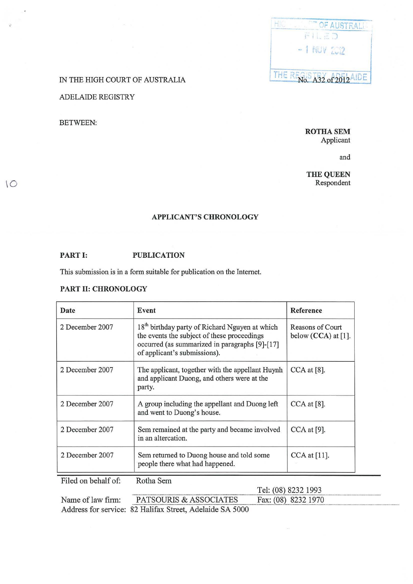

### IN THE HIGH COURT OF AUSTRALIA

# ADELAIDE REGISTRY

#### BETWEEN:

 $\overline{O}$ 

ROTHA SEM Applicant

and

THE QUEEN Respondent

#### APPLICANT'S CHRONOLOGY

## PART I: PUBLICATION

This submission is in a form suitable for publication on the Internet.

#### PART II: CHRONOLOGY

| Date            | Event                                                                                                                                                                                       | Reference                                 |
|-----------------|---------------------------------------------------------------------------------------------------------------------------------------------------------------------------------------------|-------------------------------------------|
| 2 December 2007 | 18 <sup>th</sup> birthday party of Richard Nguyen at which<br>the events the subject of these proceedings<br>occurred (as summarized in paragraphs [9]-[17]<br>of applicant's submissions). | Reasons of Court<br>below $(CCA)$ at [1]. |
| 2 December 2007 | The applicant, together with the appellant Huynh<br>and applicant Duong, and others were at the<br>party.                                                                                   | $CCA$ at [8].                             |
| 2 December 2007 | A group including the appellant and Duong left<br>and went to Duong's house.                                                                                                                | $CCA$ at [8].                             |
| 2 December 2007 | Sem remained at the party and became involved<br>in an altercation.                                                                                                                         | $CCA$ at [9].                             |
| 2 December 2007 | Sem returned to Duong house and told some<br>people there what had happened.                                                                                                                | CCA at [11].                              |

Filed on behalf of: Rotha Sem

|                   | Tel: (08) 8232 1993                                      |                     |  |
|-------------------|----------------------------------------------------------|---------------------|--|
| Name of law firm: | PATSOURIS & ASSOCIATES                                   | Fax: (08) 8232 1970 |  |
|                   | Address for service: 82 Halifax Street, Adelaide SA 5000 |                     |  |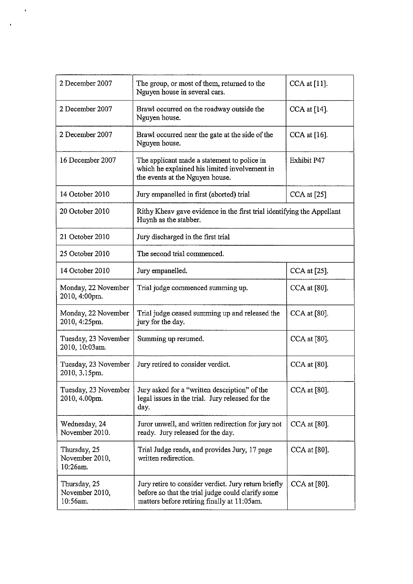| 2 December 2007                            | The group, or most of them, returned to the<br>Nguyen house in several cars.                                                                             | CCA at [11].       |  |
|--------------------------------------------|----------------------------------------------------------------------------------------------------------------------------------------------------------|--------------------|--|
| 2 December 2007                            | Brawl occurred on the roadway outside the<br>Nguyen house.                                                                                               | CCA at [14].       |  |
| 2 December 2007                            | Brawl occurred near the gate at the side of the<br>Nguyen house.                                                                                         | CCA at [16].       |  |
| 16 December 2007                           | The applicant made a statement to police in<br>which he explained his limited involvement in<br>the events at the Nguyen house.                          | <b>Exhibit P47</b> |  |
| 14 October 2010                            | Jury empanelled in first (aborted) trial                                                                                                                 | CCA at [25]        |  |
| 20 October 2010                            | Rithy Kheav gave evidence in the first trial identifying the Appellant<br>Huynh as the stabber.                                                          |                    |  |
| 21 October 2010                            | Jury discharged in the first trial                                                                                                                       |                    |  |
| 25 October 2010                            | The second trial commenced.                                                                                                                              |                    |  |
| 14 October 2010                            | Jury empanelled.                                                                                                                                         | CCA at [25].       |  |
| Monday, 22 November<br>2010, 4:00pm.       | Trial judge commenced summing up.                                                                                                                        | $CCA$ at $[80]$ .  |  |
| Monday, 22 November<br>2010, 4:25pm.       | Trial judge ceased summing up and released the<br>jury for the day.                                                                                      | $CCA$ at $[80]$ .  |  |
| Tuesday, 23 November<br>2010, 10:03am.     | Summing up resumed.                                                                                                                                      | CCA at [80].       |  |
| Tuesday, 23 November<br>2010, 3.15pm.      | Jury retired to consider verdict.                                                                                                                        | CCA at [80].       |  |
| Tuesday, 23 November<br>2010, 4.00pm.      | Jury asked for a "written description" of the<br>legal issues in the trial. Jury released for the<br>day.                                                | CCA at [80].       |  |
| Wednesday, 24<br>November 2010.            | Juror unwell, and written redirection for jury not<br>ready. Jury released for the day.                                                                  | $CCA$ at [80].     |  |
| Thursday, 25<br>November 2010,<br>10:26am. | Trial Judge reads, and provides Jury, 17 page<br>written redirection.                                                                                    | CCA at [80].       |  |
| Thursday, 25<br>November 2010,<br>10:56am. | Jury retire to consider verdict. Jury return briefly<br>before so that the trial judge could clarify some<br>matters before retiring finally at 11:05am. | CCA at [80].       |  |

 $\pmb{\epsilon}$